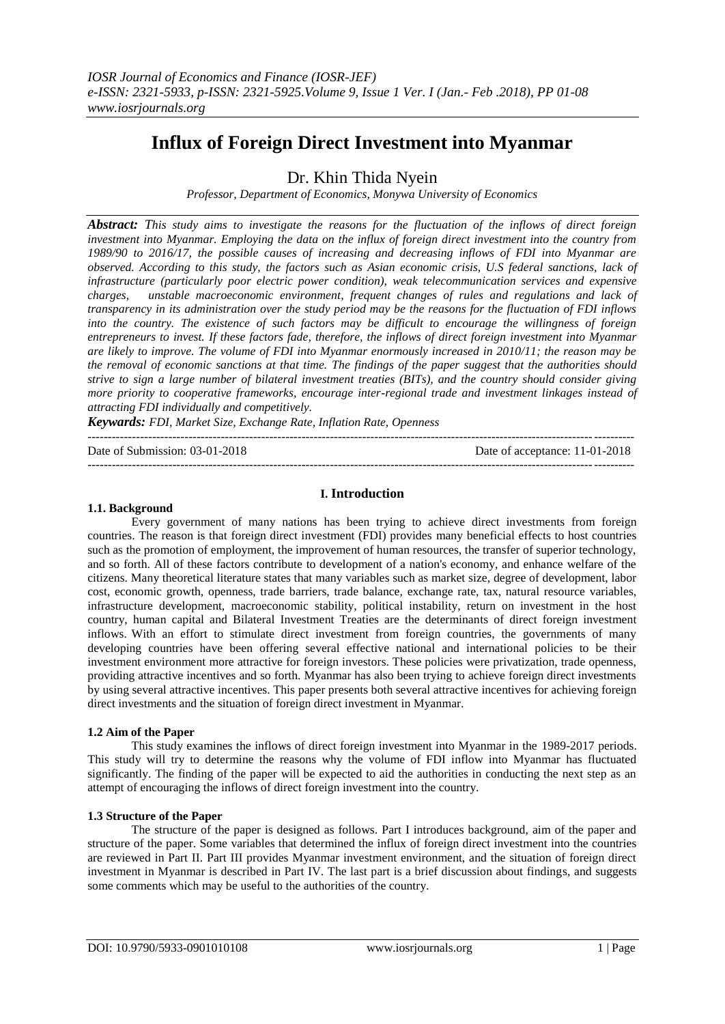# **Influx of Foreign Direct Investment into Myanmar**

Dr. Khin Thida Nyein

*Professor, Department of Economics, Monywa University of Economics*

*Abstract: This study aims to investigate the reasons for the fluctuation of the inflows of direct foreign investment into Myanmar. Employing the data on the influx of foreign direct investment into the country from 1989/90 to 2016/17, the possible causes of increasing and decreasing inflows of FDI into Myanmar are observed. According to this study, the factors such as Asian economic crisis, U.S federal sanctions, lack of infrastructure (particularly poor electric power condition), weak telecommunication services and expensive charges, unstable macroeconomic environment, frequent changes of rules and regulations and lack of transparency in its administration over the study period may be the reasons for the fluctuation of FDI inflows into the country. The existence of such factors may be difficult to encourage the willingness of foreign entrepreneurs to invest. If these factors fade, therefore, the inflows of direct foreign investment into Myanmar are likely to improve. The volume of FDI into Myanmar enormously increased in 2010/11; the reason may be the removal of economic sanctions at that time. The findings of the paper suggest that the authorities should strive to sign a large number of bilateral investment treaties (BITs), and the country should consider giving more priority to cooperative frameworks, encourage inter-regional trade and investment linkages instead of attracting FDI individually and competitively.*

*Keywards: FDI, Market Size, Exchange Rate, Inflation Rate, Openness* ---------------------------------------------------------------------------------------------------------------------------------------

Date of Submission: 03-01-2018 Date of acceptance: 11-01-2018

---------------------------------------------------------------------------------------------------------------------------------------

# **I. Introduction**

#### **1.1. Background**

Every government of many nations has been trying to achieve direct investments from foreign countries. The reason is that foreign direct investment (FDI) provides many beneficial effects to host countries such as the promotion of employment, the improvement of human resources, the transfer of superior technology, and so forth. All of these factors contribute to development of a nation's economy, and enhance welfare of the citizens. Many theoretical literature states that many variables such as market size, degree of development, labor cost, economic growth, openness, trade barriers, trade balance, exchange rate, tax, natural resource variables, infrastructure development, macroeconomic stability, political instability, return on investment in the host country, human capital and Bilateral Investment Treaties are the determinants of direct foreign investment inflows. With an effort to stimulate direct investment from foreign countries, the governments of many developing countries have been offering several effective national and international policies to be their investment environment more attractive for foreign investors. These policies were privatization, trade openness, providing attractive incentives and so forth. Myanmar has also been trying to achieve foreign direct investments by using several attractive incentives. This paper presents both several attractive incentives for achieving foreign direct investments and the situation of foreign direct investment in Myanmar.

## **1.2 Aim of the Paper**

This study examines the inflows of direct foreign investment into Myanmar in the 1989-2017 periods. This study will try to determine the reasons why the volume of FDI inflow into Myanmar has fluctuated significantly. The finding of the paper will be expected to aid the authorities in conducting the next step as an attempt of encouraging the inflows of direct foreign investment into the country.

## **1.3 Structure of the Paper**

The structure of the paper is designed as follows. Part I introduces background, aim of the paper and structure of the paper. Some variables that determined the influx of foreign direct investment into the countries are reviewed in Part II. Part III provides Myanmar investment environment, and the situation of foreign direct investment in Myanmar is described in Part IV. The last part is a brief discussion about findings, and suggests some comments which may be useful to the authorities of the country.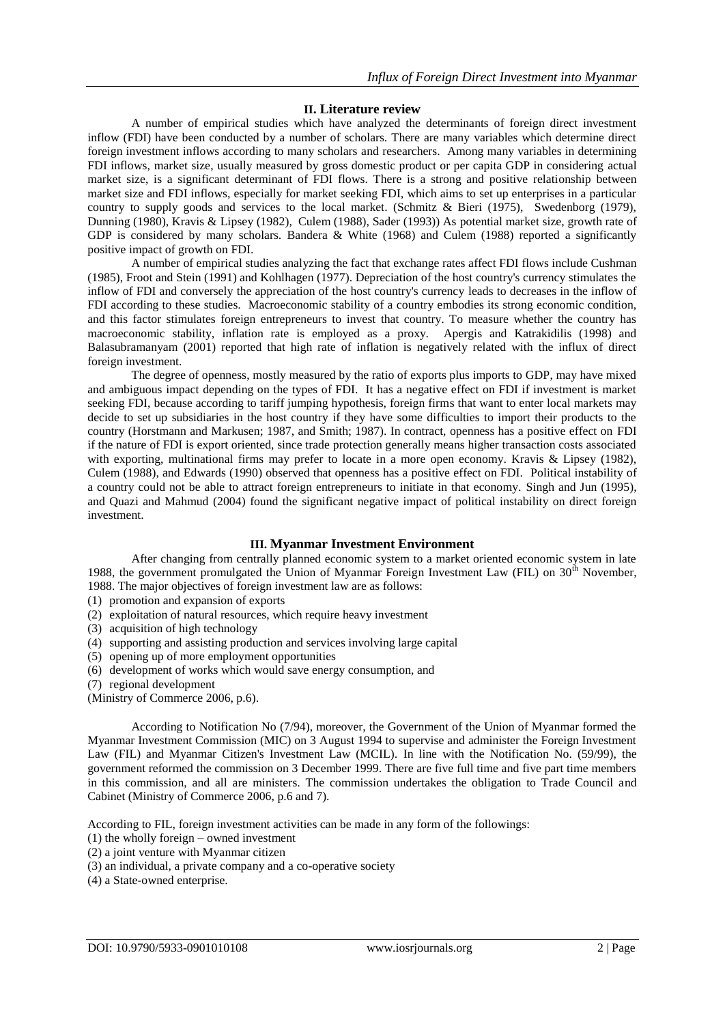# **II. Literature review**

A number of empirical studies which have analyzed the determinants of foreign direct investment inflow (FDI) have been conducted by a number of scholars. There are many variables which determine direct foreign investment inflows according to many scholars and researchers. Among many variables in determining FDI inflows, market size, usually measured by gross domestic product or per capita GDP in considering actual market size, is a significant determinant of FDI flows. There is a strong and positive relationship between market size and FDI inflows, especially for market seeking FDI, which aims to set up enterprises in a particular country to supply goods and services to the local market. (Schmitz & Bieri (1975), Swedenborg (1979), Dunning (1980), Kravis & Lipsey (1982), Culem (1988), Sader (1993)) As potential market size, growth rate of GDP is considered by many scholars. Bandera & White (1968) and Culem (1988) reported a significantly positive impact of growth on FDI.

A number of empirical studies analyzing the fact that exchange rates affect FDI flows include Cushman (1985), Froot and Stein (1991) and Kohlhagen (1977). Depreciation of the host country's currency stimulates the inflow of FDI and conversely the appreciation of the host country's currency leads to decreases in the inflow of FDI according to these studies. Macroeconomic stability of a country embodies its strong economic condition, and this factor stimulates foreign entrepreneurs to invest that country. To measure whether the country has macroeconomic stability, inflation rate is employed as a proxy. Apergis and Katrakidilis (1998) and Balasubramanyam (2001) reported that high rate of inflation is negatively related with the influx of direct foreign investment.

The degree of openness, mostly measured by the ratio of exports plus imports to GDP, may have mixed and ambiguous impact depending on the types of FDI. It has a negative effect on FDI if investment is market seeking FDI, because according to tariff jumping hypothesis, foreign firms that want to enter local markets may decide to set up subsidiaries in the host country if they have some difficulties to import their products to the country (Horstmann and Markusen; 1987, and Smith; 1987). In contract, openness has a positive effect on FDI if the nature of FDI is export oriented, since trade protection generally means higher transaction costs associated with exporting, multinational firms may prefer to locate in a more open economy. Kravis & Lipsey (1982), Culem (1988), and Edwards (1990) observed that openness has a positive effect on FDI. Political instability of a country could not be able to attract foreign entrepreneurs to initiate in that economy. Singh and Jun (1995), and Quazi and Mahmud (2004) found the significant negative impact of political instability on direct foreign investment.

# **III. Myanmar Investment Environment**

After changing from centrally planned economic system to a market oriented economic system in late 1988, the government promulgated the Union of Myanmar Foreign Investment Law (FIL) on  $30<sup>th</sup>$  November, 1988. The major objectives of foreign investment law are as follows:

- (1) promotion and expansion of exports
- (2) exploitation of natural resources, which require heavy investment
- (3) acquisition of high technology
- (4) supporting and assisting production and services involving large capital
- (5) opening up of more employment opportunities
- (6) development of works which would save energy consumption, and
- (7) regional development
- (Ministry of Commerce 2006, p.6).

According to Notification No (7/94), moreover, the Government of the Union of Myanmar formed the Myanmar Investment Commission (MIC) on 3 August 1994 to supervise and administer the Foreign Investment Law (FIL) and Myanmar Citizen's Investment Law (MCIL). In line with the Notification No. (59/99), the government reformed the commission on 3 December 1999. There are five full time and five part time members in this commission, and all are ministers. The commission undertakes the obligation to Trade Council and Cabinet (Ministry of Commerce 2006, p.6 and 7).

According to FIL, foreign investment activities can be made in any form of the followings:

- (1) the wholly foreign owned investment
- (2) a joint venture with Myanmar citizen
- (3) an individual, a private company and a co-operative society
- (4) a State-owned enterprise.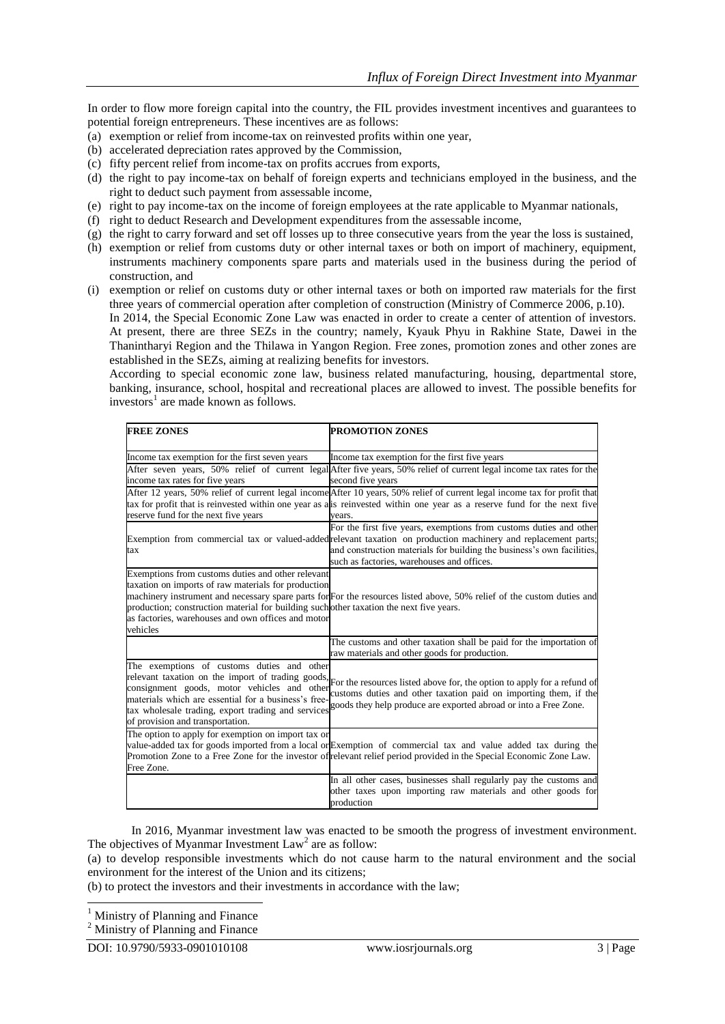In order to flow more foreign capital into the country, the FIL provides investment incentives and guarantees to potential foreign entrepreneurs. These incentives are as follows:

- (a) exemption or relief from income-tax on reinvested profits within one year,
- (b) accelerated depreciation rates approved by the Commission,
- (c) fifty percent relief from income-tax on profits accrues from exports,
- (d) the right to pay income-tax on behalf of foreign experts and technicians employed in the business, and the right to deduct such payment from assessable income,
- (e) right to pay income-tax on the income of foreign employees at the rate applicable to Myanmar nationals,
- (f) right to deduct Research and Development expenditures from the assessable income,
- (g) the right to carry forward and set off losses up to three consecutive years from the year the loss is sustained,
- (h) exemption or relief from customs duty or other internal taxes or both on import of machinery, equipment, instruments machinery components spare parts and materials used in the business during the period of construction, and
- (i) exemption or relief on customs duty or other internal taxes or both on imported raw materials for the first three years of commercial operation after completion of construction (Ministry of Commerce 2006, p.10).

In 2014, the Special Economic Zone Law was enacted in order to create a center of attention of investors. At present, there are three SEZs in the country; namely, Kyauk Phyu in Rakhine State, Dawei in the Thanintharyi Region and the Thilawa in Yangon Region. Free zones, promotion zones and other zones are established in the SEZs, aiming at realizing benefits for investors.

According to special economic zone law, business related manufacturing, housing, departmental store, banking, insurance, school, hospital and recreational places are allowed to invest. The possible benefits for investors<sup>1</sup> are made known as follows.

| <b>FREE ZONES</b>                                                                                                                                                                                                                                                                                | PROMOTION ZONES                                                                                                                                                                                                                                                 |
|--------------------------------------------------------------------------------------------------------------------------------------------------------------------------------------------------------------------------------------------------------------------------------------------------|-----------------------------------------------------------------------------------------------------------------------------------------------------------------------------------------------------------------------------------------------------------------|
| Income tax exemption for the first seven years                                                                                                                                                                                                                                                   | Income tax exemption for the first five years                                                                                                                                                                                                                   |
|                                                                                                                                                                                                                                                                                                  | After seven years, 50% relief of current legal After five years, 50% relief of current legal income tax rates for the                                                                                                                                           |
| income tax rates for five years                                                                                                                                                                                                                                                                  | second five years                                                                                                                                                                                                                                               |
| reserve fund for the next five years                                                                                                                                                                                                                                                             | After 12 years, 50% relief of current legal income After 10 years, 50% relief of current legal income tax for profit that<br>tax for profit that is reinvested within one year as a is reinvested within one year as a reserve fund for the next five<br>years. |
|                                                                                                                                                                                                                                                                                                  | For the first five years, exemptions from customs duties and other                                                                                                                                                                                              |
| tax                                                                                                                                                                                                                                                                                              | Exemption from commercial tax or valued-added relevant taxation on production machinery and replacement parts;<br>and construction materials for building the business's own facilities,<br>such as factories, warehouses and offices.                          |
| Exemptions from customs duties and other relevant<br>taxation on imports of raw materials for production<br>production; construction material for building such other taxation the next five years.<br>as factories, warehouses and own offices and motor<br>vehicles                            | machinery instrument and necessary spare parts for For the resources listed above, 50% relief of the custom duties and                                                                                                                                          |
|                                                                                                                                                                                                                                                                                                  | The customs and other taxation shall be paid for the importation of<br>raw materials and other goods for production.                                                                                                                                            |
| The exemptions of customs duties and other<br>relevant taxation on the import of trading goods,<br>consignment goods, motor vehicles and other<br>materials which are essential for a business's free-<br>tax wholesale trading, export trading and services<br>of provision and transportation. | For the resources listed above for, the option to apply for a refund of<br>customs duties and other taxation paid on importing them, if the<br>goods they help produce are exported abroad or into a Free Zone.                                                 |
| The option to apply for exemption on import tax or<br>Free Zone.                                                                                                                                                                                                                                 | value-added tax for goods imported from a local or Exemption of commercial tax and value added tax during the<br>Promotion Zone to a Free Zone for the investor of relevant relief period provided in the Special Economic Zone Law.                            |
|                                                                                                                                                                                                                                                                                                  | In all other cases, businesses shall regularly pay the customs and<br>other taxes upon importing raw materials and other goods for<br>production                                                                                                                |

In 2016, Myanmar investment law was enacted to be smooth the progress of investment environment. The objectives of Myanmar Investment  $Law<sup>2</sup>$  are as follow:

(a) to develop responsible investments which do not cause harm to the natural environment and the social environment for the interest of the Union and its citizens;

(b) to protect the investors and their investments in accordance with the law;

1 <sup>1</sup> Ministry of Planning and Finance

<sup>2</sup> Ministry of Planning and Finance

DOI: 10.9790/5933-0901010108 www.iosrjournals.org 3 | Page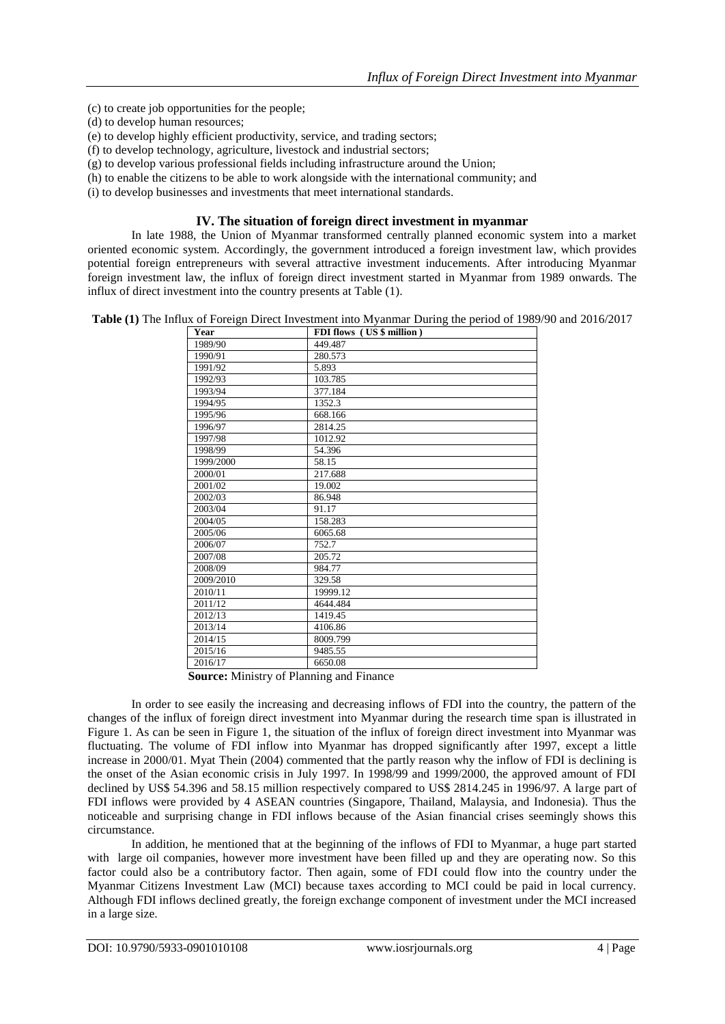- (c) to create job opportunities for the people;
- (d) to develop human resources;
- (e) to develop highly efficient productivity, service, and trading sectors;
- (f) to develop technology, agriculture, livestock and industrial sectors;
- (g) to develop various professional fields including infrastructure around the Union;
- (h) to enable the citizens to be able to work alongside with the international community; and
- (i) to develop businesses and investments that meet international standards.

# **IV. The situation of foreign direct investment in myanmar**

In late 1988, the Union of Myanmar transformed centrally planned economic system into a market oriented economic system. Accordingly, the government introduced a foreign investment law, which provides potential foreign entrepreneurs with several attractive investment inducements. After introducing Myanmar foreign investment law, the influx of foreign direct investment started in Myanmar from 1989 onwards. The influx of direct investment into the country presents at Table (1).

**Table (1)** The Influx of Foreign Direct Investment into Myanmar During the period of 1989/90 and 2016/2017

| Year      | FDI flows (US \$ million) |
|-----------|---------------------------|
| 1989/90   | 449.487                   |
| 1990/91   | 280.573                   |
| 1991/92   | 5.893                     |
| 1992/93   | 103.785                   |
| 1993/94   | 377.184                   |
| 1994/95   | 1352.3                    |
| 1995/96   | 668.166                   |
| 1996/97   | 2814.25                   |
| 1997/98   | 1012.92                   |
| 1998/99   | 54.396                    |
| 1999/2000 | 58.15                     |
| 2000/01   | 217.688                   |
| 2001/02   | 19.002                    |
| 2002/03   | 86.948                    |
| 2003/04   | 91.17                     |
| 2004/05   | 158.283                   |
| 2005/06   | 6065.68                   |
| 2006/07   | 752.7                     |
| 2007/08   | 205.72                    |
| 2008/09   | 984.77                    |
| 2009/2010 | 329.58                    |
| 2010/11   | 19999.12                  |
| 2011/12   | 4644.484                  |
| 2012/13   | 1419.45                   |
| 2013/14   | 4106.86                   |
| 2014/15   | 8009.799                  |
| 2015/16   | 9485.55                   |
| 2016/17   | 6650.08                   |

**Source:** Ministry of Planning and Finance

In order to see easily the increasing and decreasing inflows of FDI into the country, the pattern of the changes of the influx of foreign direct investment into Myanmar during the research time span is illustrated in Figure 1. As can be seen in Figure 1, the situation of the influx of foreign direct investment into Myanmar was fluctuating. The volume of FDI inflow into Myanmar has dropped significantly after 1997, except a little increase in 2000/01. Myat Thein (2004) commented that the partly reason why the inflow of FDI is declining is the onset of the Asian economic crisis in July 1997. In 1998/99 and 1999/2000, the approved amount of FDI declined by US\$ 54.396 and 58.15 million respectively compared to US\$ 2814.245 in 1996/97. A large part of FDI inflows were provided by 4 ASEAN countries (Singapore, Thailand, Malaysia, and Indonesia). Thus the noticeable and surprising change in FDI inflows because of the Asian financial crises seemingly shows this circumstance.

In addition, he mentioned that at the beginning of the inflows of FDI to Myanmar, a huge part started with large oil companies, however more investment have been filled up and they are operating now. So this factor could also be a contributory factor. Then again, some of FDI could flow into the country under the Myanmar Citizens Investment Law (MCI) because taxes according to MCI could be paid in local currency. Although FDI inflows declined greatly, the foreign exchange component of investment under the MCI increased in a large size.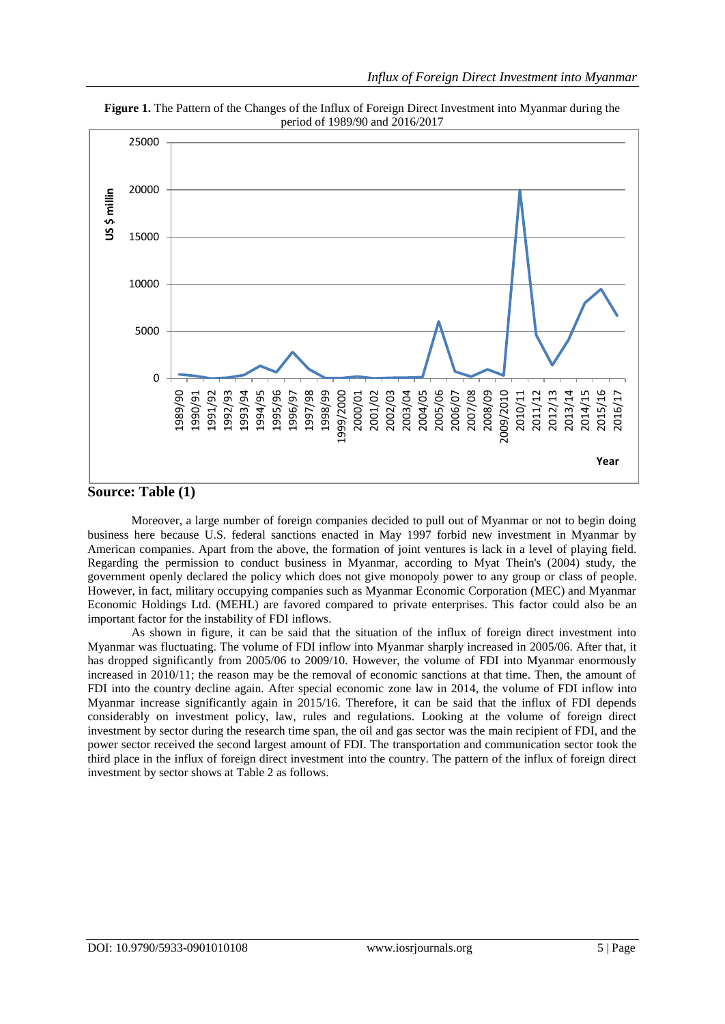

**Figure 1.** The Pattern of the Changes of the Influx of Foreign Direct Investment into Myanmar during the period of 1989/90 and 2016/2017

# **Source: Table (1)**

Moreover, a large number of foreign companies decided to pull out of Myanmar or not to begin doing business here because U.S. federal sanctions enacted in May 1997 forbid new investment in Myanmar by American companies. Apart from the above, the formation of joint ventures is lack in a level of playing field. Regarding the permission to conduct business in Myanmar, according to Myat Thein's (2004) study, the government openly declared the policy which does not give monopoly power to any group or class of people. However, in fact, military occupying companies such as Myanmar Economic Corporation (MEC) and Myanmar Economic Holdings Ltd. (MEHL) are favored compared to private enterprises. This factor could also be an important factor for the instability of FDI inflows.

As shown in figure, it can be said that the situation of the influx of foreign direct investment into Myanmar was fluctuating. The volume of FDI inflow into Myanmar sharply increased in 2005/06. After that, it has dropped significantly from 2005/06 to 2009/10. However, the volume of FDI into Myanmar enormously increased in 2010/11; the reason may be the removal of economic sanctions at that time. Then, the amount of FDI into the country decline again. After special economic zone law in 2014, the volume of FDI inflow into Myanmar increase significantly again in 2015/16. Therefore, it can be said that the influx of FDI depends considerably on investment policy, law, rules and regulations. Looking at the volume of foreign direct investment by sector during the research time span, the oil and gas sector was the main recipient of FDI, and the power sector received the second largest amount of FDI. The transportation and communication sector took the third place in the influx of foreign direct investment into the country. The pattern of the influx of foreign direct investment by sector shows at Table 2 as follows.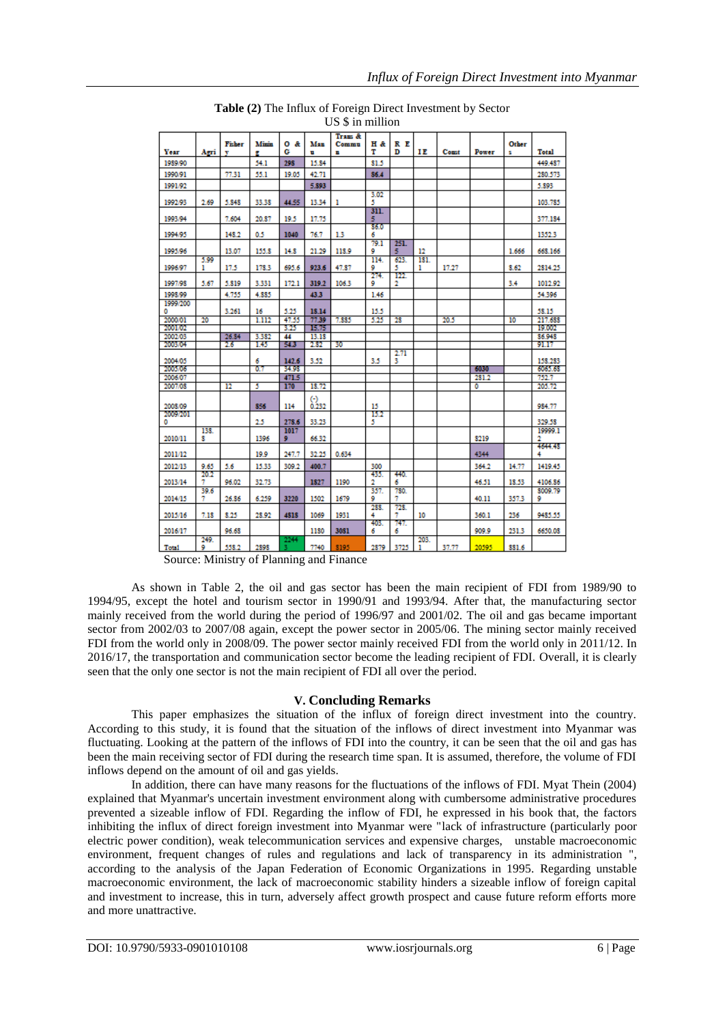|               |              |        |              |               |          | Trans & |             |           |           |       |       |       |          |
|---------------|--------------|--------|--------------|---------------|----------|---------|-------------|-----------|-----------|-------|-------|-------|----------|
|               |              | Fisher | <b>Minin</b> | 0 &           | Man      | Commu   | Η&          | R E       |           |       |       | Other |          |
| Year          | Agri         | v      | 햳            | G             | ū        | E.      | т           | D         | ΙE        | Const | Power | s     | Total    |
| 1989/90       |              |        | 54.1         | 298           | 15.84    |         | 81.5        |           |           |       |       |       | 449.487  |
| 1990/91       |              | 77.31  | 55.1         | 19.05         | 42.71    |         | 86.4        |           |           |       |       |       | 280.573  |
| 1991/92       |              |        |              |               | 5,893    |         |             |           |           |       |       |       | 5.893    |
|               |              |        |              |               |          |         | 3.02        |           |           |       |       |       |          |
| 1992/93       | 2.69         | 5,848  | 33.38        | 44.55         | 13.34    | 1       | 5<br>311.   |           |           |       |       |       | 103.785  |
| 1993/94       |              | 7.604  | 20.37        | 19.5          | 17.75    |         | 5           |           |           |       |       |       | 377.184  |
| 1994/95       |              | 148.2  | 0.5          | 1040          | 76.7     | 1.3     | 86.0<br>6   |           |           |       |       |       | 1352.3   |
|               |              |        |              |               |          |         | 79.1        | 251.      |           |       |       |       |          |
| 1995/96       |              | 13.07  | 155.8        | 14.8          | 21.29    | 118.9   | 9           | 5         | 12        |       |       | 1.666 | 668.166  |
| 1996/97       | 5.99<br>ı    | 17.5   | 178.3        | 695.6         | 923.6    | 47.87   | 114.<br>9   | 623.<br>5 | 181.<br>ı | 17.27 |       | 8.62  | 2814.25  |
|               |              |        |              |               |          |         | 274.        | m         |           |       |       |       |          |
| 1997/98       | 5.67         | 5.819  | 3.331        | 172.1         | 319.2    | 106.3   | 9           | 2         |           |       |       | 3.4   | 1012.92  |
| 1998.99       |              | 4.755  | 4.885        |               | 43.3     |         | 1.46        |           |           |       |       |       | 54.396   |
| 1999/200<br>٥ |              | 3.261  | 16           | 5.25          | 18.14    |         | 15.5        |           |           |       |       |       | 58.15    |
| 2000/01       | 20           |        | 1.112        | 47.55         | 77.39    | 7.885   | 5.25        | 28        |           | 20.5  |       | 10    | 217.688  |
| 2001/02       |              |        |              | 3.25          | 15.75    |         |             |           |           |       |       |       | 19,000   |
| 2002/03       |              | 26.84  | 3.382        | 44            | 13.18    |         |             |           |           |       |       |       | 86.948   |
| 2003/04       |              | 26     | 1.45         | 54.3          | 2.82     | 30      |             |           |           |       |       |       | 91.17    |
| 2004/05       |              |        | 6            | 142.6         | 3.52     |         | 3.5         | 2.71<br>3 |           |       |       |       | 158.283  |
| 2005/06       |              |        | 67           | 34.98         |          |         |             |           |           |       | 6030  |       | 6065.63  |
| 2006/07       |              |        |              | 471.5         |          |         |             |           |           |       | 281.2 |       | 752.7    |
| 2007/08       |              | 12     | 5            | 170           | 18.72    |         |             |           |           |       | ٥     |       | 205.72   |
|               |              |        |              |               | $\Theta$ |         |             |           |           |       |       |       |          |
| 2008/09       |              |        | 856          | 114           | 0.232    |         | 15          |           |           |       |       |       | 984.77   |
| 2002/201      |              |        | 25           |               | 33.23    |         | 152<br>5    |           |           |       |       |       | 329.58   |
| ٥             | 138.         |        |              | 278.6<br>1017 |          |         |             |           |           |       |       |       | 19999.1  |
| 2010/11       | s            |        | 1396         | 9             | 66.32    |         |             |           |           |       | 8219  |       | 2        |
|               |              |        |              |               |          |         |             |           |           |       |       |       | 4644.48  |
| 2011/12       |              |        | 19.9         | 247.7         | 32.25    | 0.634   |             |           |           |       | 4344  |       |          |
| 2012/13       | 9.65<br>20.2 | 5.6    | 15.33        | 309.2         | 400.7    |         | 300<br>435. | 440.      |           |       | 364.2 | 14.77 | 1419.45  |
| 2013/14       | 7            | 96.02  | 32.73        |               | 1827     | 1190    | 2           | 6         |           |       | 46.51 | 18.53 | 4106.86  |
|               | 39.6         |        |              |               |          |         | 357.        | 780.      |           |       |       |       | \$009.79 |
| 2014/15       | 7            | 26.86  | 6.259        | 3220          | 1502     | 1679    | 9<br>288.   | 7<br>723. |           |       | 40.11 | 357.3 | ٥        |
| 2015/16       | 7.18         | 8.25   | 28.92        | 4818          | 1069     | 1931    | 4           | 7         | 10        |       | 360.1 | 236   | 9485.55  |
| 2016/17       |              | 96.68  |              |               | 1130     | 3081    | 403.<br>6   | 747.<br>6 |           |       | 909.9 | 231.3 | 6650.08  |
|               | 249.         |        |              | 2244          |          |         |             |           | 203.      |       |       |       |          |
| Total         | ٥            | 558.2  | 2898         |               | 7740     | 8195    | 2879        | 3725      |           | 37.77 | 20595 | 881.6 |          |

**Table (2)** The Influx of Foreign Direct Investment by Sector US \$ in million

Source: Ministry of Planning and Finance

As shown in Table 2, the oil and gas sector has been the main recipient of FDI from 1989/90 to 1994/95, except the hotel and tourism sector in 1990/91 and 1993/94. After that, the manufacturing sector mainly received from the world during the period of 1996/97 and 2001/02. The oil and gas became important sector from 2002/03 to 2007/08 again, except the power sector in 2005/06. The mining sector mainly received FDI from the world only in 2008/09. The power sector mainly received FDI from the world only in 2011/12. In 2016/17, the transportation and communication sector become the leading recipient of FDI. Overall, it is clearly seen that the only one sector is not the main recipient of FDI all over the period.

# **V. Concluding Remarks**

This paper emphasizes the situation of the influx of foreign direct investment into the country. According to this study, it is found that the situation of the inflows of direct investment into Myanmar was fluctuating. Looking at the pattern of the inflows of FDI into the country, it can be seen that the oil and gas has been the main receiving sector of FDI during the research time span. It is assumed, therefore, the volume of FDI inflows depend on the amount of oil and gas yields.

In addition, there can have many reasons for the fluctuations of the inflows of FDI. Myat Thein (2004) explained that Myanmar's uncertain investment environment along with cumbersome administrative procedures prevented a sizeable inflow of FDI. Regarding the inflow of FDI, he expressed in his book that, the factors inhibiting the influx of direct foreign investment into Myanmar were "lack of infrastructure (particularly poor electric power condition), weak telecommunication services and expensive charges, unstable macroeconomic environment, frequent changes of rules and regulations and lack of transparency in its administration ", according to the analysis of the Japan Federation of Economic Organizations in 1995. Regarding unstable macroeconomic environment, the lack of macroeconomic stability hinders a sizeable inflow of foreign capital and investment to increase, this in turn, adversely affect growth prospect and cause future reform efforts more and more unattractive.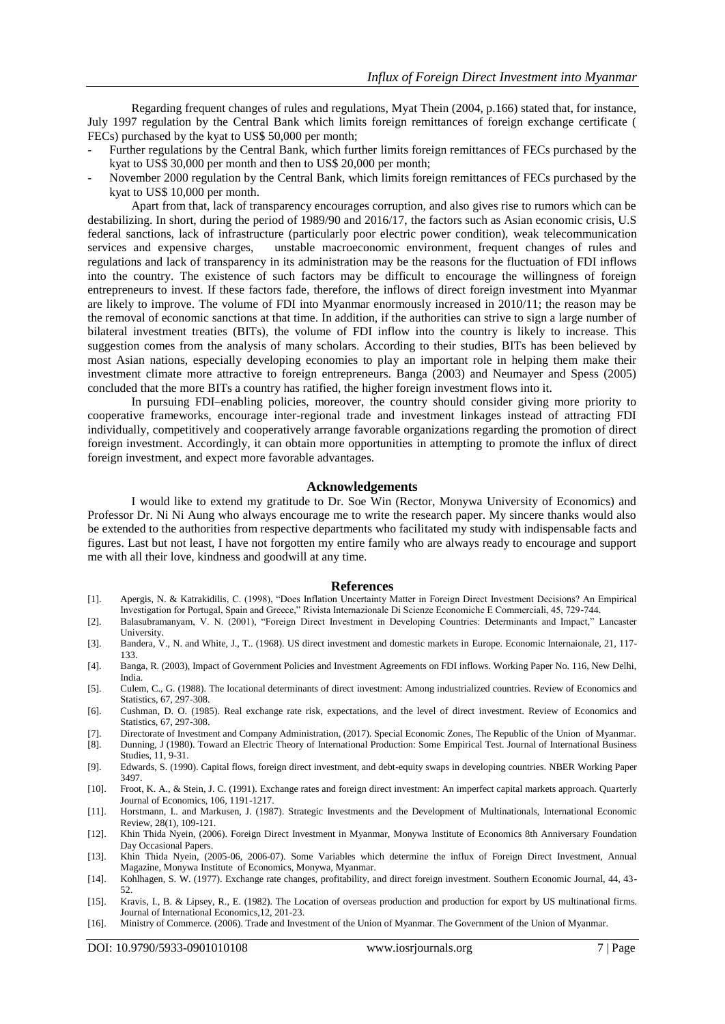Regarding frequent changes of rules and regulations, Myat Thein (2004, p.166) stated that, for instance, July 1997 regulation by the Central Bank which limits foreign remittances of foreign exchange certificate ( FECs) purchased by the kyat to US\$ 50,000 per month;

- Further regulations by the Central Bank, which further limits foreign remittances of FECs purchased by the kyat to US\$ 30,000 per month and then to US\$ 20,000 per month;
- November 2000 regulation by the Central Bank, which limits foreign remittances of FECs purchased by the kyat to US\$ 10,000 per month.

Apart from that, lack of transparency encourages corruption, and also gives rise to rumors which can be destabilizing. In short, during the period of 1989/90 and 2016/17, the factors such as Asian economic crisis, U.S federal sanctions, lack of infrastructure (particularly poor electric power condition), weak telecommunication services and expensive charges, unstable macroeconomic environment, frequent changes of rules and regulations and lack of transparency in its administration may be the reasons for the fluctuation of FDI inflows into the country. The existence of such factors may be difficult to encourage the willingness of foreign entrepreneurs to invest. If these factors fade, therefore, the inflows of direct foreign investment into Myanmar are likely to improve. The volume of FDI into Myanmar enormously increased in 2010/11; the reason may be the removal of economic sanctions at that time. In addition, if the authorities can strive to sign a large number of bilateral investment treaties (BITs), the volume of FDI inflow into the country is likely to increase. This suggestion comes from the analysis of many scholars. According to their studies, BITs has been believed by most Asian nations, especially developing economies to play an important role in helping them make their investment climate more attractive to foreign entrepreneurs. Banga (2003) and Neumayer and Spess (2005) concluded that the more BITs a country has ratified, the higher foreign investment flows into it.

In pursuing FDI–enabling policies, moreover, the country should consider giving more priority to cooperative frameworks, encourage inter-regional trade and investment linkages instead of attracting FDI individually, competitively and cooperatively arrange favorable organizations regarding the promotion of direct foreign investment. Accordingly, it can obtain more opportunities in attempting to promote the influx of direct foreign investment, and expect more favorable advantages.

#### **Acknowledgements**

I would like to extend my gratitude to Dr. Soe Win (Rector, Monywa University of Economics) and Professor Dr. Ni Ni Aung who always encourage me to write the research paper. My sincere thanks would also be extended to the authorities from respective departments who facilitated my study with indispensable facts and figures. Last but not least, I have not forgotten my entire family who are always ready to encourage and support me with all their love, kindness and goodwill at any time.

#### **References**

- [1]. Apergis, N. & Katrakidilis, C. (1998), "Does Inflation Uncertainty Matter in Foreign Direct Investment Decisions? An Empirical Investigation for Portugal, Spain and Greece," Rivista Internazionale Di Scienze Economiche E Commerciali, 45, 729-744.
- [2]. Balasubramanyam, V. N. (2001), "Foreign Direct Investment in Developing Countries: Determinants and Impact," Lancaster University.
- [3]. Bandera, V., N. and White, J., T.. (1968). US direct investment and domestic markets in Europe. Economic Internaionale, 21, 117- 133.
- [4]. Banga, R. (2003), Impact of Government Policies and Investment Agreements on FDI inflows. Working Paper No. 116, New Delhi, India.
- [5]. Culem, C., G. (1988). The locational determinants of direct investment: Among industrialized countries. Review of Economics and Statistics, 67, 297-308.
- [6]. Cushman, D. O. (1985). Real exchange rate risk, expectations, and the level of direct investment. Review of Economics and Statistics, 67, 297-308.
- [7]. Directorate of Investment and Company Administration, (2017). Special Economic Zones, The Republic of the Union of Myanmar.
- [8]. Dunning, J (1980). Toward an Electric Theory of International Production: Some Empirical Test. Journal of International Business Studies, 11, 9-31.
- [9]. Edwards, S. (1990). Capital flows, foreign direct investment, and debt-equity swaps in developing countries. NBER Working Paper 3497.
- [10]. Froot, K. A., & Stein, J. C. (1991). Exchange rates and foreign direct investment: An imperfect capital markets approach. Quarterly Journal of Economics, 106, 1191-1217.
- [11]. Horstmann, I.. and Markusen, J. (1987). Strategic Investments and the Development of Multinationals, International Economic Review, 28(1), 109-121.
- [12]. Khin Thida Nyein, (2006). Foreign Direct Investment in Myanmar, Monywa Institute of Economics 8th Anniversary Foundation Day Occasional Papers.
- [13]. Khin Thida Nyein, (2005-06, 2006-07). Some Variables which determine the influx of Foreign Direct Investment, Annual Magazine, Monywa Institute of Economics, Monywa, Myanmar.
- [14]. Kohlhagen, S. W. (1977). Exchange rate changes, profitability, and direct foreign investment. Southern Economic Journal, 44, 43- 52.
- [15]. Kravis, I., B. & Lipsey, R., E. (1982). The Location of overseas production and production for export by US multinational firms. Journal of International Economics,12, 201-23.
- [16]. Ministry of Commerce. (2006). Trade and Investment of the Union of Myanmar. The Government of the Union of Myanmar.